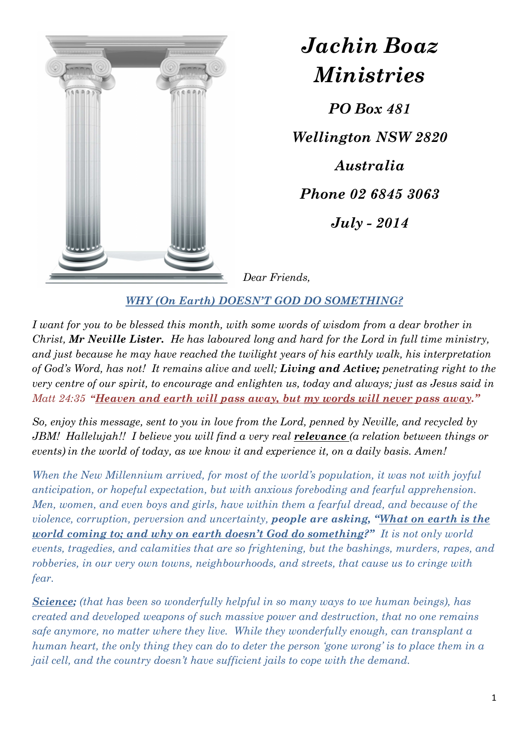

*Jachin Boaz Ministries PO Box 481 Wellington NSW 2820 Australia Phone 02 6845 3063 July - 2014* 

*Dear Friends,* 

*WHY (On Earth) DOESN'T GOD DO SOMETHING?* 

*I want for you to be blessed this month, with some words of wisdom from a dear brother in Christ, Mr Neville Lister. He has laboured long and hard for the Lord in full time ministry, and just because he may have reached the twilight years of his earthly walk, his interpretation of God's Word, has not! It remains alive and well; Living and Active; penetrating right to the very centre of our spirit, to encourage and enlighten us, today and always; just as Jesus said in Matt 24:35* "Heaven and earth will pass away, but my words will never pass away."

*So, enjoy this message, sent to you in love from the Lord, penned by Neville, and recycled by JBM! Hallelujah!! I believe you will find a very real relevance (a relation between things or events) in the world of today, as we know it and experience it, on a daily basis. Amen!* 

*When the New Millennium arrived, for most of the world's population, it was not with joyful anticipation, or hopeful expectation, but with anxious foreboding and fearful apprehension. Men, women, and even boys and girls, have within them a fearful dread, and because of the violence, corruption, perversion and uncertainty, people are asking, "What on earth is the world coming to; and why on earth doesn't God do something?" It is not only world events, tragedies, and calamities that are so frightening, but the bashings, murders, rapes, and robberies, in our very own towns, neighbourhoods, and streets, that cause us to cringe with fear.* 

*Science; (that has been so wonderfully helpful in so many ways to we human beings), has created and developed weapons of such massive power and destruction, that no one remains safe anymore, no matter where they live. While they wonderfully enough, can transplant a human heart, the only thing they can do to deter the person 'gone wrong' is to place them in a jail cell, and the country doesn't have sufficient jails to cope with the demand.*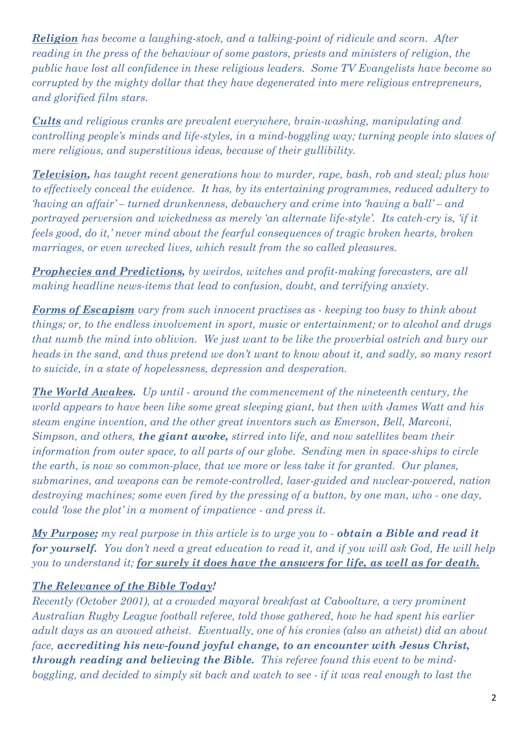*Religion has become a laughing-stock, and a talking-point of ridicule and scorn. After reading in the press of the behaviour of some pastors, priests and ministers of religion, the public have lost all confidence in these religious leaders. Some TV Evangelists have become so corrupted by the mighty dollar that they have degenerated into mere religious entrepreneurs, and glorified film stars.* 

*Cults and religious cranks are prevalent everywhere, brain-washing, manipulating and controlling people's minds and life-styles, in a mind-boggling way; turning people into slaves of mere religious, and superstitious ideas, because of their gullibility.* 

*Television, has taught recent generations how to murder, rape, bash, rob and steal; plus how to effectively conceal the evidence. It has, by its entertaining programmes, reduced adultery to 'having an affair' – turned drunkenness, debauchery and crime into 'having a ball' – and portrayed perversion and wickedness as merely 'an alternate life-style'. Its catch-cry is, 'if it feels good, do it,' never mind about the fearful consequences of tragic broken hearts, broken marriages, or even wrecked lives, which result from the so called pleasures.* 

*Prophecies and Predictions, by weirdos, witches and profit-making forecasters, are all making headline news-items that lead to confusion, doubt, and terrifying anxiety.* 

*Forms of Escapism vary from such innocent practises as - keeping too busy to think about things; or, to the endless involvement in sport, music or entertainment; or to alcohol and drugs that numb the mind into oblivion. We just want to be like the proverbial ostrich and bury our heads in the sand, and thus pretend we don't want to know about it, and sadly, so many resort to suicide, in a state of hopelessness, depression and desperation.* 

*The World Awakes. Up until - around the commencement of the nineteenth century, the world appears to have been like some great sleeping giant, but then with James Watt and his steam engine invention, and the other great inventors such as Emerson, Bell, Marconi, Simpson, and others, the giant awoke, stirred into life, and now satellites beam their information from outer space, to all parts of our globe. Sending men in space-ships to circle the earth, is now so common-place, that we more or less take it for granted. Our planes, submarines, and weapons can be remote-controlled, laser-guided and nuclear-powered, nation destroying machines; some even fired by the pressing of a button, by one man, who - one day, could 'lose the plot' in a moment of impatience - and press it.* 

*My Purpose; my real purpose in this article is to urge you to - obtain a Bible and read it for yourself. You don't need a great education to read it, and if you will ask God, He will help you to understand it; for surely it does have the answers for life, as well as for death.* 

## *The Relevance of the Bible Today!*

*Recently (October 2001), at a crowded mayoral breakfast at Caboolture, a very prominent Australian Rugby League football referee, told those gathered, how he had spent his earlier adult days as an avowed atheist. Eventually, one of his cronies (also an atheist) did an about face, accrediting his new-found joyful change, to an encounter with Jesus Christ, through reading and believing the Bible. This referee found this event to be mindboggling, and decided to simply sit back and watch to see - if it was real enough to last the*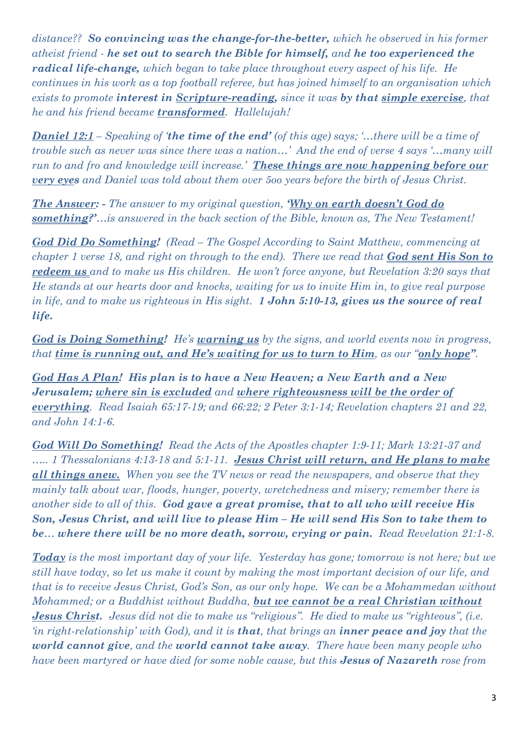*distance?? So convincing was the change-for-the-better, which he observed in his former atheist friend - he set out to search the Bible for himself, and he too experienced the radical life-change, which began to take place throughout every aspect of his life. He continues in his work as a top football referee, but has joined himself to an organisation which exists to promote interest in Scripture-reading, since it was by that simple exercise, that he and his friend became transformed. Hallelujah!* 

*Daniel 12:1 – Speaking of 'the time of the end' (of this age) says; '…there will be a time of trouble such as never was since there was a nation…' And the end of verse 4 says '…many will run to and fro and knowledge will increase.' These things are now happening before our very eyes and Daniel was told about them over 5oo years before the birth of Jesus Christ.* 

*The Answer: - The answer to my original question, 'Why on earth doesn't God do something?'…is answered in the back section of the Bible, known as, The New Testament!* 

*God Did Do Something! (Read – The Gospel According to Saint Matthew, commencing at chapter 1 verse 18, and right on through to the end). There we read that God sent His Son to redeem us and to make us His children. He won't force anyone, but Revelation 3:20 says that He stands at our hearts door and knocks, waiting for us to invite Him in, to give real purpose in life, and to make us righteous in His sight. 1 John 5:10-13, gives us the source of real life.* 

*God is Doing Something! He's warning us by the signs, and world events now in progress, that time is running out, and He's waiting for us to turn to Him, as our "only hope".* 

*God Has A Plan! His plan is to have a New Heaven; a New Earth and a New Jerusalem; where sin is excluded and where righteousness will be the order of everything. Read Isaiah 65:17-19; and 66:22; 2 Peter 3:1-14; Revelation chapters 21 and 22, and John 14:1-6.* 

*God Will Do Something! Read the Acts of the Apostles chapter 1:9-11; Mark 13:21-37 and ….. 1 Thessalonians 4:13-18 and 5:1-11. Jesus Christ will return, and He plans to make all things anew. When you see the TV news or read the newspapers, and observe that they mainly talk about war, floods, hunger, poverty, wretchedness and misery; remember there is another side to all of this. God gave a great promise, that to all who will receive His Son, Jesus Christ, and will live to please Him – He will send His Son to take them to be… where there will be no more death, sorrow, crying or pain. Read Revelation 21:1-8.* 

*Today is the most important day of your life. Yesterday has gone; tomorrow is not here; but we still have today, so let us make it count by making the most important decision of our life, and that is to receive Jesus Christ, God's Son, as our only hope. We can be a Mohammedan without Mohammed; or a Buddhist without Buddha, but we cannot be a real Christian without Jesus Christ. Jesus did not die to make us "religious". He died to make us "righteous", (i.e. 'in right-relationship' with God), and it is that, that brings an inner peace and joy that the world cannot give, and the world cannot take away. There have been many people who have been martyred or have died for some noble cause, but this Jesus of Nazareth rose from*